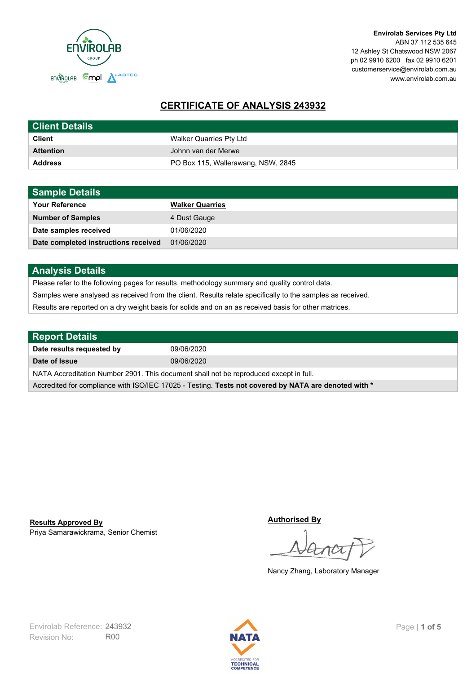

**Envirolab Services Pty Ltd** ABN 37 112 535 645 12 Ashley St Chatswood NSW 2067 ph 02 9910 6200 fax 02 9910 6201 customerservice@envirolab.com.au www.envirolab.com.au

# **CERTIFICATE OF ANALYSIS 243932**

| <b>Client Details</b> |                                    |
|-----------------------|------------------------------------|
| <b>Client</b>         | Walker Quarries Pty Ltd            |
| <b>Attention</b>      | Johnn van der Merwe                |
| <b>Address</b>        | PO Box 115, Wallerawang, NSW, 2845 |

| <b>Sample Details</b>                |                        |
|--------------------------------------|------------------------|
| <b>Your Reference</b>                | <b>Walker Quarries</b> |
| <b>Number of Samples</b>             | 4 Dust Gauge           |
| Date samples received                | 01/06/2020             |
| Date completed instructions received | 01/06/2020             |

## **Analysis Details**

Please refer to the following pages for results, methodology summary and quality control data.

Samples were analysed as received from the client. Results relate specifically to the samples as received.

Results are reported on a dry weight basis for solids and on an as received basis for other matrices.

| <b>Report Details</b>                                                                                |            |  |
|------------------------------------------------------------------------------------------------------|------------|--|
| Date results requested by                                                                            | 09/06/2020 |  |
| Date of Issue                                                                                        | 09/06/2020 |  |
| NATA Accreditation Number 2901. This document shall not be reproduced except in full.                |            |  |
| Accredited for compliance with ISO/IEC 17025 - Testing. Tests not covered by NATA are denoted with * |            |  |

Priya Samarawickrama, Senior Chemist **Results Approved By**

**Authorised By**

Nancy Zhang, Laboratory Manager

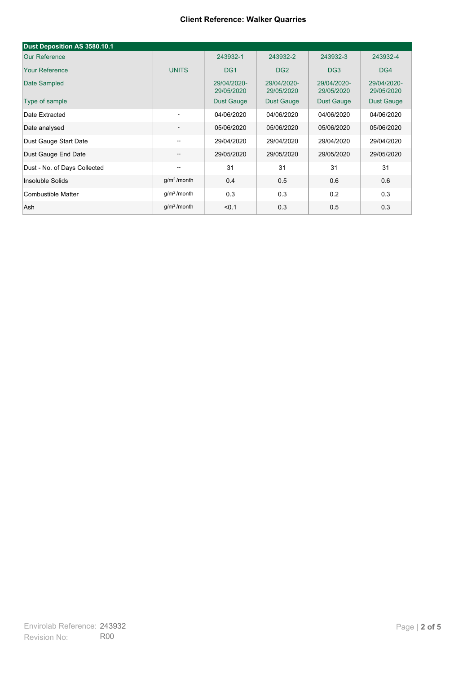| Dust Deposition AS 3580.10.1 |                          |                           |                           |                           |                           |
|------------------------------|--------------------------|---------------------------|---------------------------|---------------------------|---------------------------|
| <b>Our Reference</b>         |                          | 243932-1                  | 243932-2                  | 243932-3                  | 243932-4                  |
| <b>Your Reference</b>        | <b>UNITS</b>             | DG <sub>1</sub>           | DG <sub>2</sub>           | DG <sub>3</sub>           | DG4                       |
| Date Sampled                 |                          | 29/04/2020-<br>29/05/2020 | 29/04/2020-<br>29/05/2020 | 29/04/2020-<br>29/05/2020 | 29/04/2020-<br>29/05/2020 |
| Type of sample               |                          | <b>Dust Gauge</b>         | <b>Dust Gauge</b>         | <b>Dust Gauge</b>         | Dust Gauge                |
| Date Extracted               | ۰                        | 04/06/2020                | 04/06/2020                | 04/06/2020                | 04/06/2020                |
| Date analysed                |                          | 05/06/2020                | 05/06/2020                | 05/06/2020                | 05/06/2020                |
| Dust Gauge Start Date        | --                       | 29/04/2020                | 29/04/2020                | 29/04/2020                | 29/04/2020                |
| Dust Gauge End Date          | $\overline{\phantom{a}}$ | 29/05/2020                | 29/05/2020                | 29/05/2020                | 29/05/2020                |
| Dust - No. of Days Collected | $\overline{\phantom{a}}$ | 31                        | 31                        | 31                        | 31                        |
| Insoluble Solids             | g/m <sup>2</sup> /month  | 0.4                       | 0.5                       | 0.6                       | 0.6                       |
| Combustible Matter           | g/m <sup>2</sup> /month  | 0.3                       | 0.3                       | 0.2                       | 0.3                       |
| Ash                          | g/m <sup>2</sup> /month  | < 0.1                     | 0.3                       | 0.5                       | 0.3                       |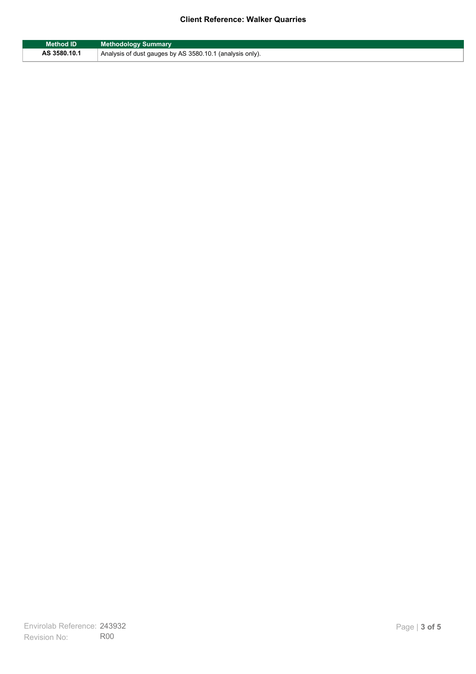| Method ID    | <b>Methodology Summary</b>                                            |
|--------------|-----------------------------------------------------------------------|
| AS 3580.10.1 | <sup>1</sup> Analysis of dust gauges by AS 3580.10.1 (analysis only). |

F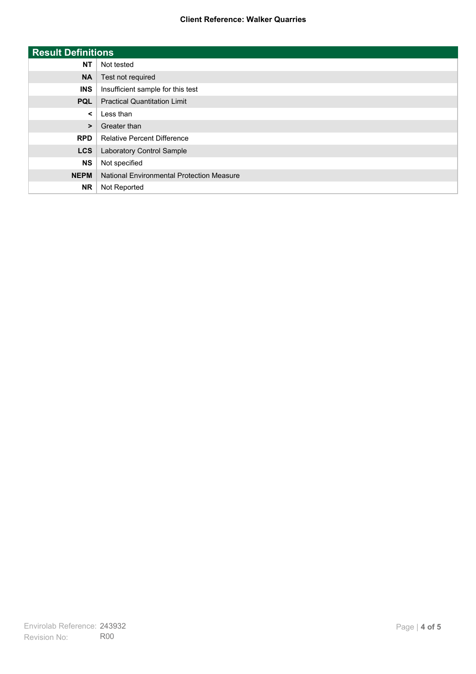| <b>Result Definitions</b> |                                           |
|---------------------------|-------------------------------------------|
| <b>NT</b>                 | Not tested                                |
| <b>NA</b>                 | Test not required                         |
| <b>INS</b>                | Insufficient sample for this test         |
| <b>PQL</b>                | <b>Practical Quantitation Limit</b>       |
| $\prec$                   | Less than                                 |
| $\geq$                    | Greater than                              |
| <b>RPD</b>                | <b>Relative Percent Difference</b>        |
| <b>LCS</b>                | Laboratory Control Sample                 |
| <b>NS</b>                 | Not specified                             |
| <b>NEPM</b>               | National Environmental Protection Measure |
| <b>NR</b>                 | Not Reported                              |